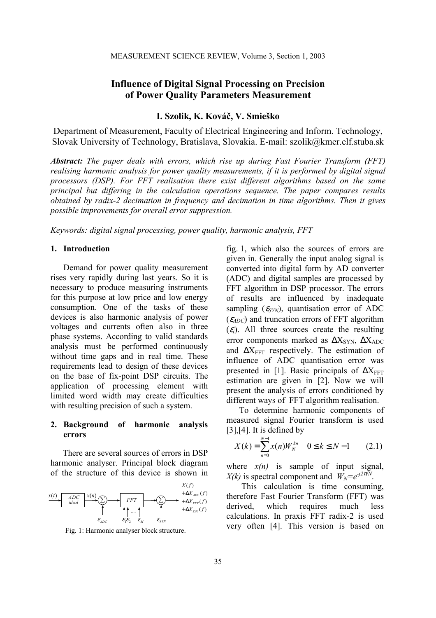# **Influence of Digital Signal Processing on Precision of Power Quality Parameters Measurement**

# **I. Szolik, K. Kováč, V. Smieško**

Department of Measurement, Faculty of Electrical Engineering and Inform. Technology, Slovak University of Technology, Bratislava, Slovakia. E-mail: szolik@kmer.elf.stuba.sk

*Abstract: The paper deals with errors, which rise up during Fast Fourier Transform (FFT) realising harmonic analysis for power quality measurements, if it is performed by digital signal processors (DSP). For FFT realisation there exist different algorithms based on the same principal but differing in the calculation operations sequence. The paper compares results obtained by radix-2 decimation in frequency and decimation in time algorithms. Then it gives possible improvements for overall error suppression.* 

*Keywords: digital signal processing, power quality, harmonic analysis, FFT* 

#### **1. Introduction**

Demand for power quality measurement rises very rapidly during last years. So it is necessary to produce measuring instruments for this purpose at low price and low energy consumption. One of the tasks of these devices is also harmonic analysis of power voltages and currents often also in three phase systems. According to valid standards analysis must be performed continuously without time gaps and in real time. These requirements lead to design of these devices on the base of fix-point DSP circuits. The application of processing element with limited word width may create difficulties with resulting precision of such a system.

## **2. Background of harmonic analysis errors**

 There are several sources of errors in DSP harmonic analyser. Principal block diagram of the structure of this device is shown in



Fig. 1: Harmonic analyser block structure.

fig. 1, which also the sources of errors are given in. Generally the input analog signal is converted into digital form by AD converter (ADC) and digital samples are processed by FFT algorithm in DSP processor. The errors of results are influenced by inadequate sampling  $(\varepsilon_{SYN})$ , quantisation error of ADC  $(\varepsilon_{4DC})$  and truncation errors of FFT algorithm  $(\varepsilon_i)$ . All three sources create the resulting error components marked as  $\Delta X_{\text{SYN}}$ ,  $\Delta X_{\text{ADC}}$ and  $\Delta X_{\text{FFT}}$  respectively. The estimation of influence of ADC quantisation error was presented in [1]. Basic principals of  $\Delta X_{FFT}$ estimation are given in [2]. Now we will present the analysis of errors conditioned by different ways of FFT algorithm realisation.

To determine harmonic components of measured signal Fourier transform is used  $[3]$ , $[4]$ . It is defined by

$$
X(k) = \sum_{n=0}^{N-1} x(n)W_N^{kn} \quad 0 \le k \le N-1 \qquad (2.1)
$$

where  $x(n)$  is sample of input signal, *X(k)* is spectral component and  $W_N = e^{-j2\pi/N}$ .

 This calculation is time consuming, therefore Fast Fourier Transform (FFT) was derived, which requires much less calculations. In praxis FFT radix-2 is used very often [4]. This version is based on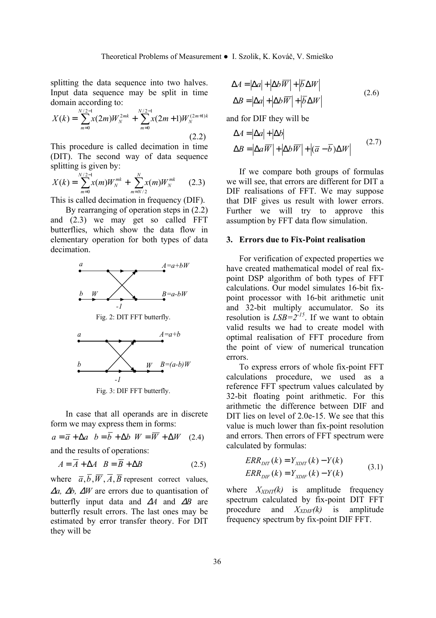splitting the data sequence into two halves. Input data sequence may be split in time domain according to:

$$
X(k) = \sum_{m=0}^{N/2-1} x(2m)W_N^{2mk} + \sum_{m=0}^{N/2-1} x(2m+1)W_N^{(2m+1)k}
$$
\n(2.2)

This procedure is called decimation in time (DIT). The second way of data sequence splitting is given by:

$$
X(k) = \sum_{m=0}^{N/2-1} x(m)W_N^{mk} + \sum_{m=N/2}^{N} x(m)W_N^{mk}
$$
 (2.3)

This is called decimation in frequency (DIF).

 By rearranging of operation steps in (2.2) and (2.3) we may get so called FFT butterflies, which show the data flow in elementary operation for both types of data decimation.



Fig. 2: DIT FFT butterfly.



Fig. 3: DIF FFT butterfly.

In case that all operands are in discrete form we may express them in forms:

$$
a = \overline{a} + \Delta a \quad b = \overline{b} + \Delta b \quad W = \overline{W} + \Delta W \quad (2.4)
$$

and the results of operations:

$$
A = A + \Delta A \quad B = \overline{B} + \Delta B \tag{2.5}
$$

where  $\overline{a}$ ,  $\overline{b}$ ,  $\overline{W}$ ,  $\overline{A}$ ,  $\overline{B}$  represent correct values, <sup>∆</sup>*a,* ∆*b,* ∆*W* are errors due to quantisation of butterfly input data and ∆*A* and ∆*B* are butterfly result errors. The last ones may be estimated by error transfer theory. For DIT they will be

$$
\Delta A = |\Delta a| + |\Delta b \overline{W}| + |\overline{b} \Delta W|
$$
  

$$
\Delta B = |\Delta a| + |\Delta b \overline{W}| + |\overline{b} \Delta W|
$$
 (2.6)

and for DIF they will be

$$
\Delta A = |\Delta a| + |\Delta b|
$$
  
\n
$$
\Delta B = |\Delta a \overline{W}| + |\Delta b \overline{W}| + |(\overline{a} - \overline{b}) \Delta W|
$$
\n(2.7)

If we compare both groups of formulas we will see, that errors are different for DIT a DIF realisations of FFT. We may suppose that DIF gives us result with lower errors. Further we will try to approve this assumption by FFT data flow simulation.

# **3. Errors due to Fix-Point realisation**

For verification of expected properties we have created mathematical model of real fixpoint DSP algorithm of both types of FFT calculations. Our model simulates 16-bit fixpoint processor with 16-bit arithmetic unit and 32-bit multiply accumulator. So its resolution is  $LSB = 2^{15}$ . If we want to obtain valid results we had to create model with optimal realisation of FFT procedure from the point of view of numerical truncation errors.

To express errors of whole fix-point FFT calculations procedure, we used as a reference FFT spectrum values calculated by 32-bit floating point arithmetic. For this arithmetic the difference between DIF and DIT lies on level of 2.0e-15. We see that this value is much lower than fix-point resolution and errors. Then errors of FFT spectrum were calculated by formulas:

$$
ERR_{DIT}(k) = Y_{XDIT}(k) - Y(k)
$$
  
 
$$
ERR_{DIF}(k) = Y_{XDIF}(k) - Y(k)
$$
 (3.1)

where  $X_{XDT}(k)$  is amplitude frequency spectrum calculated by fix-point DIT FFT procedure and *XXDIF(k)* is amplitude frequency spectrum by fix-point DIF FFT.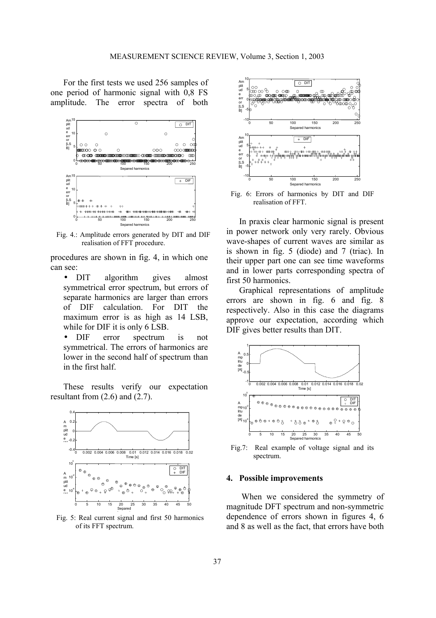For the first tests we used 256 samples of one period of harmonic signal with 0,8 FS amplitude. The error spectra of both



Fig. 4.: Amplitude errors generated by DIT and DIF realisation of FFT procedure.

procedures are shown in fig. 4, in which one can see:

- DIT algorithm gives almost symmetrical error spectrum, but errors of separate harmonics are larger than errors of DIF calculation. For DIT the maximum error is as high as 14 LSB, while for DIF it is only 6 LSB.
- DIF error spectrum is not symmetrical. The errors of harmonics are lower in the second half of spectrum than in the first half.

These results verify our expectation resultant from (2.6) and (2.7).



Fig. 5: Real current signal and first 50 harmonics of its FFT spectrum.



Fig. 6: Errors of harmonics by DIT and DIF realisation of FFT.

In praxis clear harmonic signal is present in power network only very rarely. Obvious wave-shapes of current waves are similar as is shown in fig. 5 (diode) and 7 (triac). In their upper part one can see time waveforms and in lower parts corresponding spectra of first 50 harmonics.

Graphical representations of amplitude errors are shown in fig. 6 and fig. 8 respectively. Also in this case the diagrams approve our expectation, according which DIF gives better results than DIT.



Fig.7: Real example of voltage signal and its

### **4. Possible improvements**

When we considered the symmetry of magnitude DFT spectrum and non-symmetric dependence of errors shown in figures 4, 6 and 8 as well as the fact, that errors have both